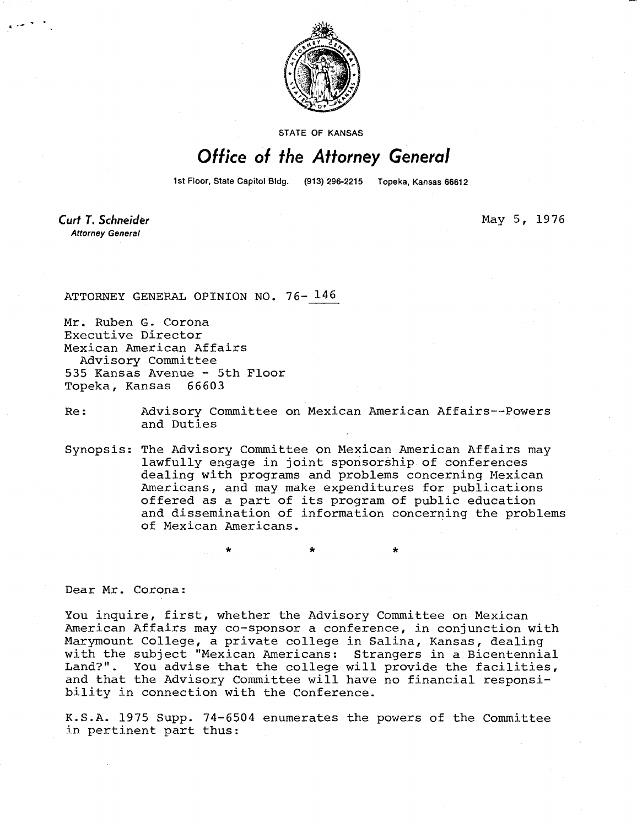

STATE OF KANSAS

## Office of the Attorney General

1st Floor, State Capitol Bidg. (913) 296-2215 Topeka, Kansas 66612

May 5, 1976

Curt T. Schneider **Attorney General** 

ATTORNEY GENERAL OPINION NO. 76- 146

Mr. Ruben G. Corona Executive Director Mexican American Affairs Advisory Committee 535 Kansas Avenue - 5th Floor Topeka, Kansas 66603

Re: Advisory Committee on Mexican American Affairs--Powers and Duties

Synopsis: The Advisory Committee on Mexican American Affairs may lawfully engage in joint sponsorship of conferences dealing with programs and problems concerning Mexican Americans, and may make expenditures for publications offered as a part of its program of public education and dissemination of information concerning the problems of Mexican Americans.

Dear Mr. Corona:

You inquire, first, whether the Advisory Committee on Mexican American Affairs may co-sponsor a conference, in conjunction with Marymount College, a private college in Salina, Kansas, dealing with the subject "Mexican Americans: Strangers in a Bicentennial Land?". You advise that the college will provide the facilities, and that the Advisory Committee will have no financial responsibility in connection with the Conference.

K.S.A. 1975 Supp. 74-6504 enumerates the powers of the Committee in pertinent part thus: